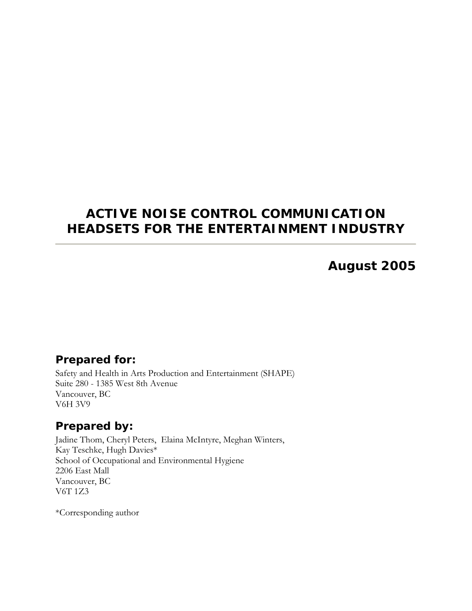## **ACTIVE NOISE CONTROL COMMUNICATION HEADSETS FOR THE ENTERTAINMENT INDUSTRY**

### **August 2005**

### *Prepared for:*

Safety and Health in Arts Production and Entertainment (SHAPE) Suite 280 - 1385 West 8th Avenue Vancouver, BC V6H 3V9

### *Prepared by:*

Jadine Thom, Cheryl Peters, Elaina McIntyre, Meghan Winters, Kay Teschke, Hugh Davies\* School of Occupational and Environmental Hygiene 2206 East Mall Vancouver, BC V6T 1Z3

\*Corresponding author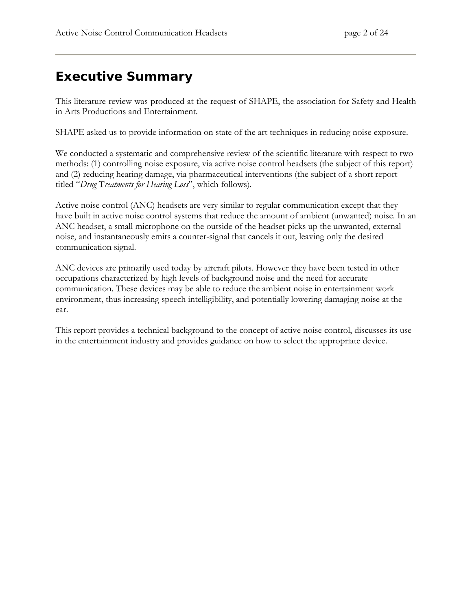## <span id="page-1-0"></span>**Executive Summary**

This literature review was produced at the request of SHAPE, the association for Safety and Health in Arts Productions and Entertainment.

SHAPE asked us to provide information on state of the art techniques in reducing noise exposure.

We conducted a systematic and comprehensive review of the scientific literature with respect to two methods: (1) controlling noise exposure, via active noise control headsets (the subject of this report) and (2) reducing hearing damage, via pharmaceutical interventions (the subject of a short report titled "*Drug* T*reatments for Hearing Loss*", which follows).

Active noise control (ANC) headsets are very similar to regular communication except that they have built in active noise control systems that reduce the amount of ambient (unwanted) noise. In an ANC headset, a small microphone on the outside of the headset picks up the unwanted, external noise, and instantaneously emits a counter-signal that cancels it out, leaving only the desired communication signal.

ANC devices are primarily used today by aircraft pilots. However they have been tested in other occupations characterized by high levels of background noise and the need for accurate communication. These devices may be able to reduce the ambient noise in entertainment work environment, thus increasing speech intelligibility, and potentially lowering damaging noise at the ear.

This report provides a technical background to the concept of active noise control, discusses its use in the entertainment industry and provides guidance on how to select the appropriate device.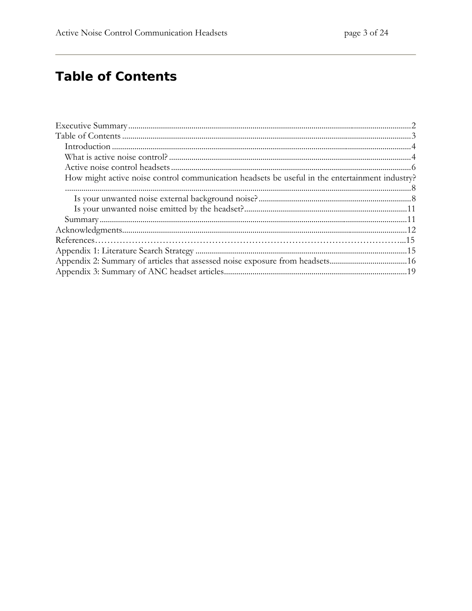# <span id="page-2-0"></span>**Table of Contents**

| How might active noise control communication headsets be useful in the entertainment industry? |  |
|------------------------------------------------------------------------------------------------|--|
|                                                                                                |  |
|                                                                                                |  |
|                                                                                                |  |
|                                                                                                |  |
|                                                                                                |  |
|                                                                                                |  |
|                                                                                                |  |
|                                                                                                |  |
|                                                                                                |  |
|                                                                                                |  |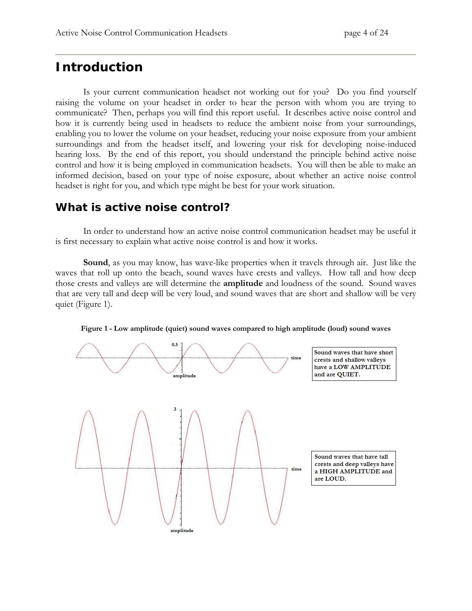### <span id="page-3-0"></span>**Introduction**

Is your current communication headset not working out for you? Do you find yourself raising the volume on your headset in order to hear the person with whom you are trying to communicate? Then, perhaps you will find this report useful. It describes active noise control and how it is currently being used in headsets to reduce the ambient noise from your surroundings, enabling you to lower the volume on your headset, reducing your noise exposure from your ambient surroundings and from the headset itself, and lowering your risk for developing noise-induced hearing loss. By the end of this report, you should understand the principle behind active noise control and how it is being employed in communication headsets. You will then be able to make an informed decision, based on your type of noise exposure, about whether an active noise control headset is right for you, and which type might be best for your work situation.

### *What is active noise control?*

In order to understand how an active noise control communication headset may be useful it is first necessary to explain what active noise control is and how it works.

**Sound**, as you may know, has wave-like properties when it travels through air. Just like the waves that roll up onto the beach, sound waves have crests and valleys. How tall and how deep those crests and valleys are will determine the **amplitude** and loudness of the sound. Sound waves that are very tall and deep will be very loud, and sound waves that are short and shallow will be very quiet (Figure 1).



**Figure 1 - Low amplitude (quiet) sound waves compared to high amplitude (loud) sound waves**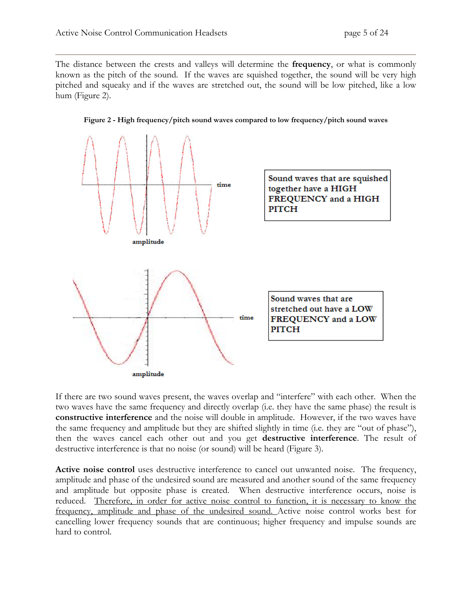The distance between the crests and valleys will determine the **frequency**, or what is commonly known as the pitch of the sound. If the waves are squished together, the sound will be very high pitched and squeaky and if the waves are stretched out, the sound will be low pitched, like a low hum (Figure 2).



**Figure 2 - High frequency/pitch sound waves compared to low frequency/pitch sound waves** 

If there are two sound waves present, the waves overlap and "interfere" with each other. When the two waves have the same frequency and directly overlap (i.e. they have the same phase) the result is **constructive interference** and the noise will double in amplitude. However, if the two waves have the same frequency and amplitude but they are shifted slightly in time (i.e. they are "out of phase"), then the waves cancel each other out and you get **destructive interference**. The result of destructive interference is that no noise (or sound) will be heard (Figure 3).

**Active noise control** uses destructive interference to cancel out unwanted noise. The frequency, amplitude and phase of the undesired sound are measured and another sound of the same frequency and amplitude but opposite phase is created. When destructive interference occurs, noise is reduced. Therefore, in order for active noise control to function, it is necessary to know the frequency, amplitude and phase of the undesired sound. Active noise control works best for cancelling lower frequency sounds that are continuous; higher frequency and impulse sounds are hard to control.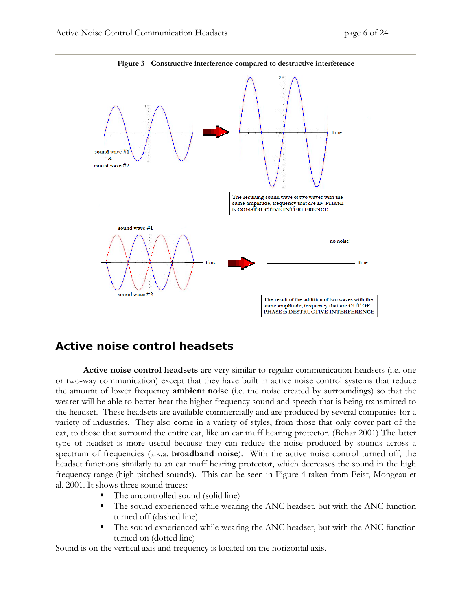<span id="page-5-0"></span>

**Figure 3 - Constructive interference compared to destructive interference**

### *Active noise control headsets*

**Active noise control headsets** are very similar to regular communication headsets (i.e. one or two-way communication) except that they have built in active noise control systems that reduce the amount of lower frequency **ambient noise** (i.e. the noise created by surroundings) so that the wearer will be able to better hear the higher frequency sound and speech that is being transmitted to the headset. These headsets are available commercially and are produced by several companies for a variety of industries. They also come in a variety of styles, from those that only cover part of the ear, to those that surround the entire ear, like an ear muff hearing protector. (Behar 2001) The latter type of headset is more useful because they can reduce the noise produced by sounds across a spectrum of frequencies (a.k.a. **broadband noise**). With the active noise control turned off, the headset functions similarly to an ear muff hearing protector, which decreases the sound in the high frequency range (high pitched sounds). This can be seen in Figure 4 taken from Feist, Mongeau et al. 2001. It shows three sound traces:

- The uncontrolled sound (solid line)
- The sound experienced while wearing the ANC headset, but with the ANC function turned off (dashed line)
- The sound experienced while wearing the ANC headset, but with the ANC function turned on (dotted line)

Sound is on the vertical axis and frequency is located on the horizontal axis.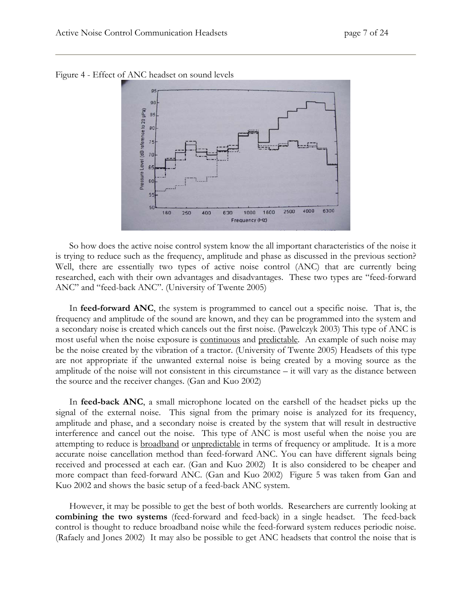

Figure 4 - Effect of ANC headset on sound levels

So how does the active noise control system know the all important characteristics of the noise it is trying to reduce such as the frequency, amplitude and phase as discussed in the previous section? Well, there are essentially two types of active noise control (ANC) that are currently being researched, each with their own advantages and disadvantages. These two types are "feed-forward ANC" and "feed-back ANC". (University of Twente 2005)

In **feed-forward ANC**, the system is programmed to cancel out a specific noise. That is, the frequency and amplitude of the sound are known, and they can be programmed into the system and a secondary noise is created which cancels out the first noise. (Pawelczyk 2003) This type of ANC is most useful when the noise exposure is **continuous** and **predictable**. An example of such noise may be the noise created by the vibration of a tractor. (University of Twente 2005) Headsets of this type are not appropriate if the unwanted external noise is being created by a moving source as the amplitude of the noise will not consistent in this circumstance – it will vary as the distance between the source and the receiver changes. (Gan and Kuo 2002)

In **feed-back ANC**, a small microphone located on the earshell of the headset picks up the signal of the external noise. This signal from the primary noise is analyzed for its frequency, amplitude and phase, and a secondary noise is created by the system that will result in destructive interference and cancel out the noise. This type of ANC is most useful when the noise you are attempting to reduce is **broadband** or <u>unpredictable</u> in terms of frequency or amplitude. It is a more accurate noise cancellation method than feed-forward ANC. You can have different signals being received and processed at each ear. (Gan and Kuo 2002) It is also considered to be cheaper and more compact than feed-forward ANC. (Gan and Kuo 2002) Figure 5 was taken from Gan and Kuo 2002 and shows the basic setup of a feed-back ANC system.

However, it may be possible to get the best of both worlds. Researchers are currently looking at **combining the two systems** (feed-forward and feed-back) in a single headset. The feed-back control is thought to reduce broadband noise while the feed-forward system reduces periodic noise. (Rafaely and Jones 2002) It may also be possible to get ANC headsets that control the noise that is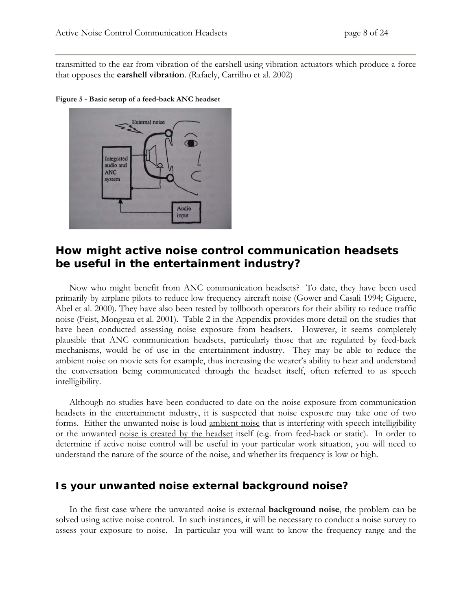<span id="page-7-0"></span>transmitted to the ear from vibration of the earshell using vibration actuators which produce a force that opposes the **earshell vibration**. (Rafaely, Carrilho et al. 2002)



**Figure 5 - Basic setup of a feed-back ANC headset** 

### *How might active noise control communication headsets be useful in the entertainment industry?*

Now who might benefit from ANC communication headsets? To date, they have been used primarily by airplane pilots to reduce low frequency aircraft noise (Gower and Casali 1994; Giguere, Abel et al. 2000). They have also been tested by tollbooth operators for their ability to reduce traffic noise (Feist, Mongeau et al. 2001). Table 2 in the Appendix provides more detail on the studies that have been conducted assessing noise exposure from headsets. However, it seems completely plausible that ANC communication headsets, particularly those that are regulated by feed-back mechanisms, would be of use in the entertainment industry. They may be able to reduce the ambient noise on movie sets for example, thus increasing the wearer's ability to hear and understand the conversation being communicated through the headset itself, often referred to as speech intelligibility.

Although no studies have been conducted to date on the noise exposure from communication headsets in the entertainment industry, it is suspected that noise exposure may take one of two forms. Either the unwanted noise is loud ambient noise that is interfering with speech intelligibility or the unwanted noise is created by the headset itself (e.g. from feed-back or static). In order to determine if active noise control will be useful in your particular work situation, you will need to understand the nature of the source of the noise, and whether its frequency is low or high.

### **Is your unwanted noise external background noise?**

In the first case where the unwanted noise is external **background noise**, the problem can be solved using active noise control. In such instances, it will be necessary to conduct a noise survey to assess your exposure to noise. In particular you will want to know the frequency range and the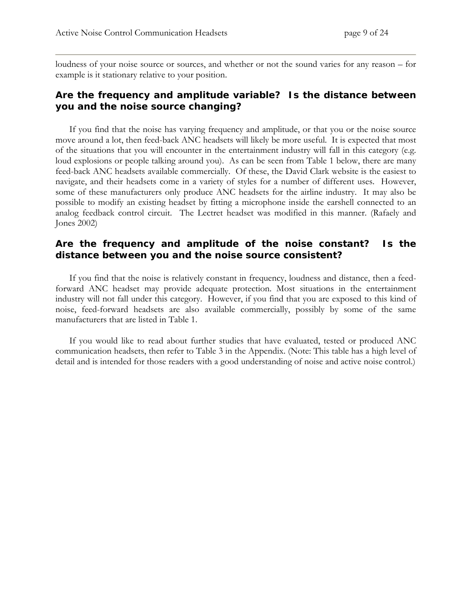loudness of your noise source or sources, and whether or not the sound varies for any reason – for example is it stationary relative to your position.

#### *Are the frequency and amplitude variable? Is the distance between you and the noise source changing?*

If you find that the noise has varying frequency and amplitude, or that you or the noise source move around a lot, then feed-back ANC headsets will likely be more useful. It is expected that most of the situations that you will encounter in the entertainment industry will fall in this category (e.g. loud explosions or people talking around you). As can be seen from Table 1 below, there are many feed-back ANC headsets available commercially. Of these, the David Clark website is the easiest to navigate, and their headsets come in a variety of styles for a number of different uses. However, some of these manufacturers only produce ANC headsets for the airline industry. It may also be possible to modify an existing headset by fitting a microphone inside the earshell connected to an analog feedback control circuit. The Lectret headset was modified in this manner. (Rafaely and Jones 2002)

#### *Are the frequency and amplitude of the noise constant? Is the distance between you and the noise source consistent?*

If you find that the noise is relatively constant in frequency, loudness and distance, then a feedforward ANC headset may provide adequate protection. Most situations in the entertainment industry will not fall under this category. However, if you find that you are exposed to this kind of noise, feed-forward headsets are also available commercially, possibly by some of the same manufacturers that are listed in Table 1.

If you would like to read about further studies that have evaluated, tested or produced ANC communication headsets, then refer to Table 3 in the Appendix. (Note: This table has a high level of detail and is intended for those readers with a good understanding of noise and active noise control.)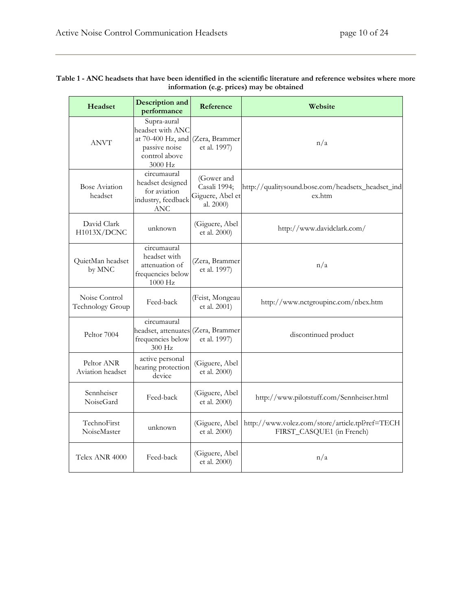| Headset                           | Description and<br>performance                                                                                               | Reference                                                   | Website                                                                      |
|-----------------------------------|------------------------------------------------------------------------------------------------------------------------------|-------------------------------------------------------------|------------------------------------------------------------------------------|
| <b>ANVT</b>                       | Supra-aural<br>headset with ANC<br>at 70-400 Hz, and (Zera, Brammer<br>passive noise<br>control above<br>$3000\ \mathrm{Hz}$ | et al. 1997)                                                | n/a                                                                          |
| Bose Aviation<br>headset          | circumaural<br>headset designed<br>for aviation<br>industry, feedback<br><b>ANC</b>                                          | (Gower and<br>Casali 1994;<br>Giguere, Abel et<br>al. 2000) | http://qualitysound.bose.com/headsetx_headset_ind<br>ex.htm                  |
| David Clark<br>H1013X/DCNC        | unknown                                                                                                                      | (Giguere, Abel<br>et al. 2000)                              | http://www.davidclark.com/                                                   |
| QuietMan headset<br>by MNC        | circumaural<br>headset with<br>attenuation of<br>frequencies below<br>$1000$ Hz                                              | (Zera, Brammer<br>et al. 1997)                              | n/a                                                                          |
| Noise Control<br>Technology Group | Feed-back                                                                                                                    | (Feist, Mongeau<br>et al. 2001)                             | http://www.nctgroupinc.com/nbex.htm                                          |
| Peltor 7004                       | circumaural<br>headset, attenuates (Zera, Brammer<br>frequencies below<br>300 Hz                                             | et al. 1997)                                                | discontinued product                                                         |
| Peltor ANR<br>Aviation headset    | active personal<br>hearing protection<br>device                                                                              | (Giguere, Abel<br>et al. 2000)                              |                                                                              |
| Sennheiser<br><b>NoiseGard</b>    | Feed-back                                                                                                                    | (Giguere, Abel<br>et al. 2000)                              | http://www.pilotstuff.com/Sennheiser.html                                    |
| TechnoFirst<br>NoiseMaster        | unknown                                                                                                                      | (Giguere, Abel<br>et al. 2000)                              | http://www.volez.com/store/article.tpl?ref=TECH<br>FIRST_CASQUE1 (in French) |
| Telex ANR 4000                    | Feed-back                                                                                                                    | (Giguere, Abel<br>et al. 2000)                              | n/a                                                                          |

#### **Table 1 - ANC headsets that have been identified in the scientific literature and reference websites where more information (e.g. prices) may be obtained**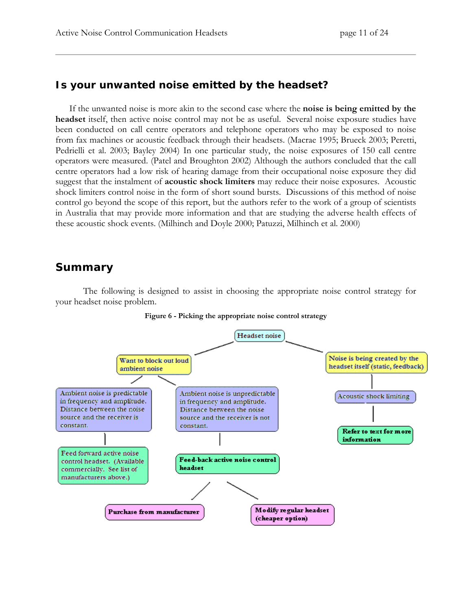### <span id="page-10-0"></span>**Is your unwanted noise emitted by the headset?**

If the unwanted noise is more akin to the second case where the **noise is being emitted by the headset** itself, then active noise control may not be as useful. Several noise exposure studies have been conducted on call centre operators and telephone operators who may be exposed to noise from fax machines or acoustic feedback through their headsets. (Macrae 1995; Brueck 2003; Peretti, Pedrielli et al. 2003; Bayley 2004) In one particular study, the noise exposures of 150 call centre operators were measured. (Patel and Broughton 2002) Although the authors concluded that the call centre operators had a low risk of hearing damage from their occupational noise exposure they did suggest that the instalment of **acoustic shock limiters** may reduce their noise exposures. Acoustic shock limiters control noise in the form of short sound bursts. Discussions of this method of noise control go beyond the scope of this report, but the authors refer to the work of a group of scientists in Australia that may provide more information and that are studying the adverse health effects of these acoustic shock events. (Milhinch and Doyle 2000; Patuzzi, Milhinch et al. 2000)

### *Summary*

The following is designed to assist in choosing the appropriate noise control strategy for your headset noise problem.



#### **Figure 6 - Picking the appropriate noise control strategy**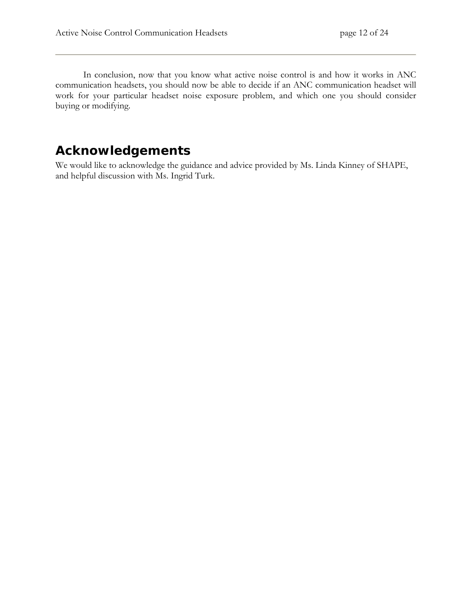<span id="page-11-0"></span>In conclusion, now that you know what active noise control is and how it works in ANC communication headsets, you should now be able to decide if an ANC communication headset will work for your particular headset noise exposure problem, and which one you should consider buying or modifying.

### **Acknowledgements**

We would like to acknowledge the guidance and advice provided by Ms. Linda Kinney of SHAPE, and helpful discussion with Ms. Ingrid Turk.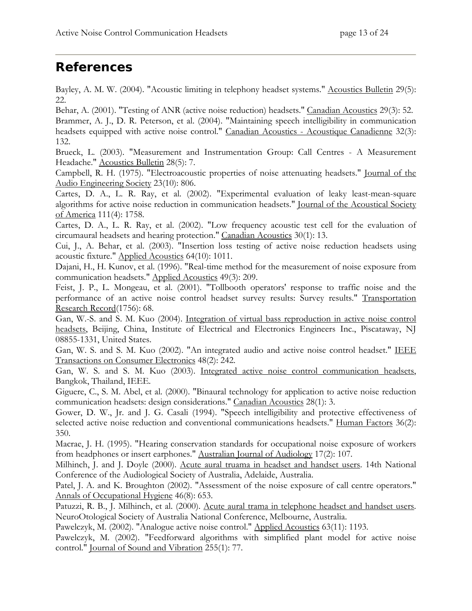## **References**

Bayley, A. M. W. (2004). "Acoustic limiting in telephony headset systems." Acoustics Bulletin 29(5): 22.

Behar, A. (2001). "Testing of ANR (active noise reduction) headsets." Canadian Acoustics 29(3): 52. Brammer, A. J., D. R. Peterson, et al. (2004). "Maintaining speech intelligibility in communication headsets equipped with active noise control." Canadian Acoustics - Acoustique Canadienne 32(3): 132.

Brueck, L. (2003). "Measurement and Instrumentation Group: Call Centres - A Measurement Headache." Acoustics Bulletin 28(5): 7.

Campbell, R. H. (1975). "Electroacoustic properties of noise attenuating headsets." Journal of the Audio Engineering Society 23(10): 806.

Cartes, D. A., L. R. Ray, et al. (2002). "Experimental evaluation of leaky least-mean-square algorithms for active noise reduction in communication headsets." Journal of the Acoustical Society of America 111(4): 1758.

Cartes, D. A., L. R. Ray, et al. (2002). "Low frequency acoustic test cell for the evaluation of circumaural headsets and hearing protection." Canadian Acoustics 30(1): 13.

Cui, J., A. Behar, et al. (2003). "Insertion loss testing of active noise reduction headsets using acoustic fixture." Applied Acoustics 64(10): 1011.

Dajani, H., H. Kunov, et al. (1996). "Real-time method for the measurement of noise exposure from communication headsets." Applied Acoustics 49(3): 209.

Feist, J. P., L. Mongeau, et al. (2001). "Tollbooth operators' response to traffic noise and the performance of an active noise control headset survey results: Survey results." Transportation Research Record(1756): 68.

Gan, W.-S. and S. M. Kuo (2004). Integration of virtual bass reproduction in active noise control headsets, Beijing, China, Institute of Electrical and Electronics Engineers Inc., Piscataway, NJ 08855-1331, United States.

Gan, W. S. and S. M. Kuo (2002). "An integrated audio and active noise control headset." IEEE Transactions on Consumer Electronics 48(2): 242.

Gan, W. S. and S. M. Kuo (2003). Integrated active noise control communication headsets, Bangkok, Thailand, IEEE.

Giguere, C., S. M. Abel, et al. (2000). "Binaural technology for application to active noise reduction communication headsets: design considerations." Canadian Acoustics 28(1): 3.

Gower, D. W., Jr. and J. G. Casali (1994). "Speech intelligibility and protective effectiveness of selected active noise reduction and conventional communications headsets." Human Factors 36(2): 350.

Macrae, J. H. (1995). "Hearing conservation standards for occupational noise exposure of workers from headphones or insert earphones." Australian Journal of Audiology 17(2): 107.

Milhinch, J. and J. Doyle (2000). Acute aural truama in headset and handset users. 14th National Conference of the Audiological Society of Australia, Adelaide, Australia.

Patel, J. A. and K. Broughton (2002). "Assessment of the noise exposure of call centre operators." Annals of Occupational Hygiene 46(8): 653.

Patuzzi, R. B., J. Milhinch, et al. (2000). Acute aural trama in telephone headset and handset users. NeuroOtological Society of Australia National Conference, Melbourne, Australia.

Pawelczyk, M. (2002). "Analogue active noise control." Applied Acoustics 63(11): 1193.

Pawelczyk, M. (2002). "Feedforward algorithms with simplified plant model for active noise control." Journal of Sound and Vibration 255(1): 77.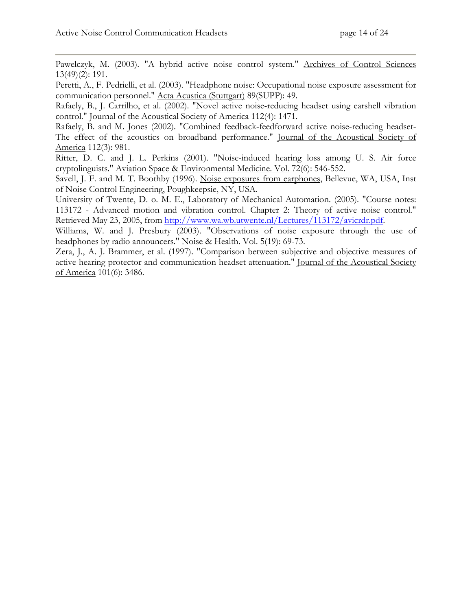Pawelczyk, M. (2003). "A hybrid active noise control system." Archives of Control Sciences 13(49)(2): 191.

Peretti, A., F. Pedrielli, et al. (2003). "Headphone noise: Occupational noise exposure assessment for communication personnel." Acta Acustica (Stuttgart) 89(SUPP): 49.

Rafaely, B., J. Carrilho, et al. (2002). "Novel active noise-reducing headset using earshell vibration control." Journal of the Acoustical Society of America 112(4): 1471.

Rafaely, B. and M. Jones (2002). "Combined feedback-feedforward active noise-reducing headset-The effect of the acoustics on broadband performance." Journal of the Acoustical Society of America 112(3): 981.

Ritter, D. C. and J. L. Perkins (2001). "Noise-induced hearing loss among U. S. Air force cryptolinguists." Aviation Space & Environmental Medicine. Vol. 72(6): 546-552.

Savell, J. F. and M. T. Boothby (1996). Noise exposures from earphones, Bellevue, WA, USA, Inst of Noise Control Engineering, Poughkeepsie, NY, USA.

University of Twente, D. o. M. E., Laboratory of Mechanical Automation. (2005). "Course notes: 113172 - Advanced motion and vibration control. Chapter 2: Theory of active noise control." Retrieved May 23, 2005, from<http://www.wa.wb.utwente.nl/Lectures/113172/avicrdr.pdf>.

Williams, W. and J. Presbury (2003). "Observations of noise exposure through the use of headphones by radio announcers." Noise & Health. Vol. 5(19): 69-73.

Zera, J., A. J. Brammer, et al. (1997). "Comparison between subjective and objective measures of active hearing protector and communication headset attenuation." Journal of the Acoustical Society of America 101(6): 3486.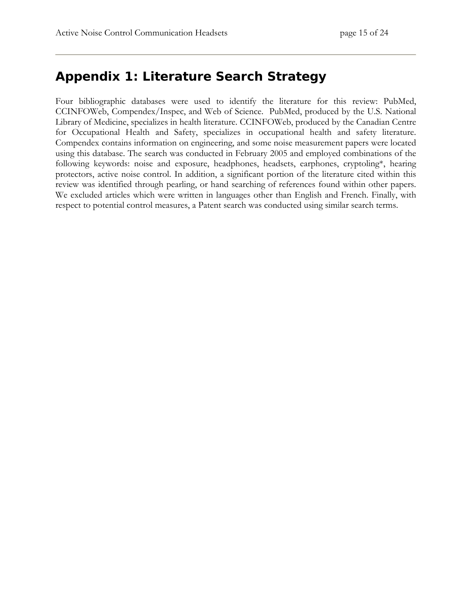### <span id="page-14-0"></span>**Appendix 1: Literature Search Strategy**

Four bibliographic databases were used to identify the literature for this review: PubMed, CCINFOWeb, Compendex/Inspec, and Web of Science. PubMed, produced by the U.S. National Library of Medicine, specializes in health literature. CCINFOWeb, produced by the Canadian Centre for Occupational Health and Safety, specializes in occupational health and safety literature. Compendex contains information on engineering, and some noise measurement papers were located using this database. The search was conducted in February 2005 and employed combinations of the following keywords: noise and exposure, headphones, headsets, earphones, cryptoling\*, hearing protectors, active noise control. In addition, a significant portion of the literature cited within this review was identified through pearling, or hand searching of references found within other papers. We excluded articles which were written in languages other than English and French. Finally, with respect to potential control measures, a Patent search was conducted using similar search terms.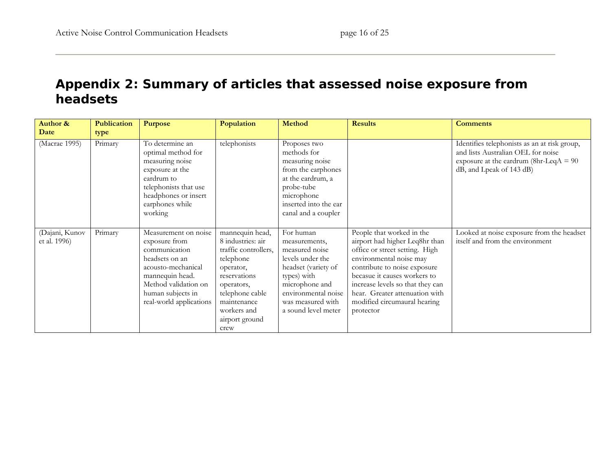## **Appendix 2: Summary of articles that assessed noise exposure from headsets**

<span id="page-15-0"></span>

| Author &<br>Date               | Publication<br>type | <b>Purpose</b>                                                                                                                                                                            | Population                                                                                                                                                                                      | Method                                                                                                                                                                                      | <b>Results</b>                                                                                                                                                                                                                                                                                              | <b>Comments</b>                                                                                                                                            |
|--------------------------------|---------------------|-------------------------------------------------------------------------------------------------------------------------------------------------------------------------------------------|-------------------------------------------------------------------------------------------------------------------------------------------------------------------------------------------------|---------------------------------------------------------------------------------------------------------------------------------------------------------------------------------------------|-------------------------------------------------------------------------------------------------------------------------------------------------------------------------------------------------------------------------------------------------------------------------------------------------------------|------------------------------------------------------------------------------------------------------------------------------------------------------------|
| (Macrae 1995)                  | Primary             | To determine an<br>optimal method for<br>measuring noise<br>exposure at the<br>eardrum to<br>telephonists that use<br>headphones or insert<br>earphones while<br>working                  | telephonists                                                                                                                                                                                    | Proposes two<br>methods for<br>measuring noise<br>from the earphones<br>at the eardrum, a<br>probe-tube<br>microphone<br>inserted into the ear<br>canal and a coupler                       |                                                                                                                                                                                                                                                                                                             | Identifies telephonists as an at risk group,<br>and lists Australian OEL for noise<br>exposure at the eardrum (8hr-LeqA = $90$<br>dB, and Lpeak of 143 dB) |
| (Dajani, Kunov<br>et al. 1996) | Primary             | Measurement on noise<br>exposure from<br>communication<br>headsets on an<br>acousto-mechanical<br>mannequin head.<br>Method validation on<br>human subjects in<br>real-world applications | mannequin head,<br>8 industries: air<br>traffic controllers,<br>telephone<br>operator,<br>reservations<br>operators,<br>telephone cable<br>maintenance<br>workers and<br>airport ground<br>crew | For human<br>measurements,<br>measured noise<br>levels under the<br>headset (variety of<br>types) with<br>microphone and<br>environmental noise<br>was measured with<br>a sound level meter | People that worked in the<br>airport had higher Leq8hr than<br>office or street setting. High<br>environmental noise may<br>contribute to noise exposure<br>becasue it causes workers to<br>increase levels so that they can<br>hear. Greater attenuation with<br>modified circumaural hearing<br>protector | Looked at noise exposure from the headset<br>itself and from the environment                                                                               |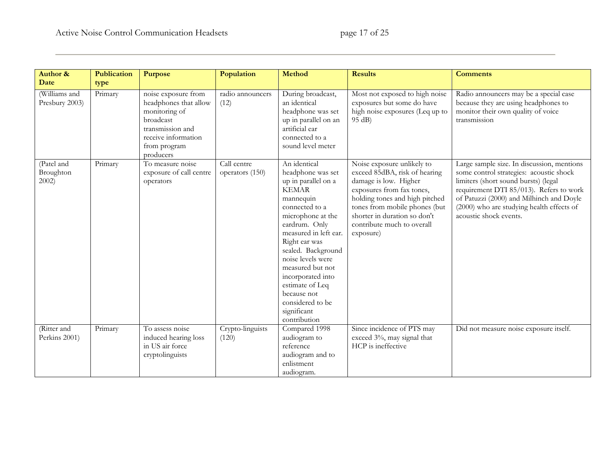| <b>Author &amp;</b>                 | Publication | Purpose                                                                                                                                            | Population                     | <b>Method</b>                                                                                                                                                                                                                                                                                                                                                    | <b>Results</b>                                                                                                                                                                                                                                                  | <b>Comments</b>                                                                                                                                                                                                                                                                             |
|-------------------------------------|-------------|----------------------------------------------------------------------------------------------------------------------------------------------------|--------------------------------|------------------------------------------------------------------------------------------------------------------------------------------------------------------------------------------------------------------------------------------------------------------------------------------------------------------------------------------------------------------|-----------------------------------------------------------------------------------------------------------------------------------------------------------------------------------------------------------------------------------------------------------------|---------------------------------------------------------------------------------------------------------------------------------------------------------------------------------------------------------------------------------------------------------------------------------------------|
| Date                                | type        |                                                                                                                                                    |                                |                                                                                                                                                                                                                                                                                                                                                                  |                                                                                                                                                                                                                                                                 |                                                                                                                                                                                                                                                                                             |
| (Williams and<br>Presbury 2003)     | Primary     | noise exposure from<br>headphones that allow<br>monitoring of<br>broadcast<br>transmission and<br>receive information<br>from program<br>producers | radio announcers<br>(12)       | During broadcast,<br>an identical<br>headphone was set<br>up in parallel on an<br>artificial ear<br>connected to a<br>sound level meter                                                                                                                                                                                                                          | Most not exposed to high noise<br>exposures but some do have<br>high noise exposures (Leq up to<br>95 dB                                                                                                                                                        | Radio announcers may be a special case<br>because they are using headphones to<br>monitor their own quality of voice<br>transmission                                                                                                                                                        |
| (Patel and<br>Broughton<br>$2002$ ) | Primary     | To measure noise<br>exposure of call centre<br>operators                                                                                           | Call centre<br>operators (150) | An identical<br>headphone was set<br>up in parallel on a<br><b>KEMAR</b><br>mannequin<br>connected to a<br>microphone at the<br>eardrum. Only<br>measured in left ear.<br>Right ear was<br>sealed. Background<br>noise levels were<br>measured but not<br>incorporated into<br>estimate of Leq<br>because not<br>considered to be<br>significant<br>contribution | Noise exposure unlikely to<br>exceed 85dBA, risk of hearing<br>damage is low. Higher<br>exposures from fax tones,<br>holding tones and high pitched<br>tones from mobile phones (but<br>shorter in duration so don't<br>contribute much to overall<br>exposure) | Large sample size. In discussion, mentions<br>some control strategies: acoustic shock<br>limiters (short sound bursts) (legal<br>requirement DTI 85/013). Refers to work<br>of Patuzzi (2000) and Milhinch and Doyle<br>(2000) who are studying health effects of<br>acoustic shock events. |
| (Ritter and<br>Perkins 2001)        | Primary     | To assess noise<br>induced hearing loss<br>in US air force<br>cryptolinguists                                                                      | Crypto-linguists<br>(120)      | Compared 1998<br>audiogram to<br>reference<br>audiogram and to<br>enlistment<br>audiogram.                                                                                                                                                                                                                                                                       | Since incidence of PTS may<br>exceed 3%, may signal that<br>HCP is ineffective                                                                                                                                                                                  | Did not measure noise exposure itself.                                                                                                                                                                                                                                                      |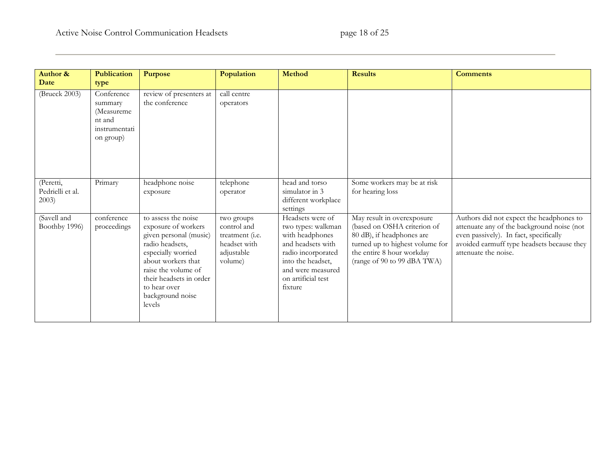| <b>Author &amp;</b>                    | <b>Publication</b>                                                          | <b>Purpose</b>                                                                                                                                                                                                                      | Population                                                                                    | <b>Method</b>                                                                                                                                                                   | <b>Results</b>                                                                                                                                                                        | <b>Comments</b>                                                                                                                                                                                        |
|----------------------------------------|-----------------------------------------------------------------------------|-------------------------------------------------------------------------------------------------------------------------------------------------------------------------------------------------------------------------------------|-----------------------------------------------------------------------------------------------|---------------------------------------------------------------------------------------------------------------------------------------------------------------------------------|---------------------------------------------------------------------------------------------------------------------------------------------------------------------------------------|--------------------------------------------------------------------------------------------------------------------------------------------------------------------------------------------------------|
| Date                                   | type                                                                        |                                                                                                                                                                                                                                     |                                                                                               |                                                                                                                                                                                 |                                                                                                                                                                                       |                                                                                                                                                                                                        |
| (Brueck 2003)                          | Conference<br>summary<br>(Measureme<br>nt and<br>instrumentati<br>on group) | review of presenters at<br>the conference                                                                                                                                                                                           | call centre<br>operators                                                                      |                                                                                                                                                                                 |                                                                                                                                                                                       |                                                                                                                                                                                                        |
| (Peretti,<br>Pedrielli et al.<br>2003) | Primary                                                                     | headphone noise<br>exposure                                                                                                                                                                                                         | telephone<br>operator                                                                         | head and torso<br>simulator in 3<br>different workplace<br>settings                                                                                                             | Some workers may be at risk<br>for hearing loss                                                                                                                                       |                                                                                                                                                                                                        |
| (Savell and<br>Boothby 1996)           | conference<br>proceedings                                                   | to assess the noise<br>exposure of workers<br>given personal (music)<br>radio headsets,<br>especially worried<br>about workers that<br>raise the volume of<br>their headsets in order<br>to hear over<br>background noise<br>levels | two groups<br>control and<br>treatment ( <i>i.e.</i><br>headset with<br>adjustable<br>volume) | Headsets were of<br>two types: walkman<br>with headphones<br>and headsets with<br>radio incorporated<br>into the headset,<br>and were measured<br>on artificial test<br>fixture | May result in overexposure<br>(based on OSHA criterion of<br>80 dB), if headphones are<br>turned up to highest volume for<br>the entire 8 hour workday<br>(range of 90 to 99 dBA TWA) | Authors did not expect the headphones to<br>attenuate any of the background noise (not<br>even passively). In fact, specifically<br>avoided earmuff type headsets because they<br>attenuate the noise. |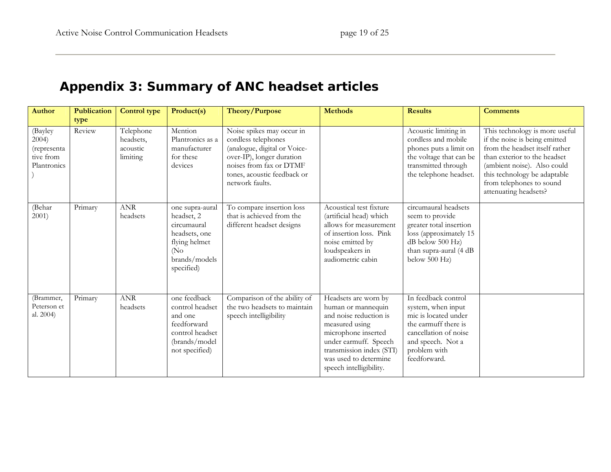# **Appendix 3: Summary of ANC headset articles**

<span id="page-18-0"></span>

| <b>Author</b>                                               | Publication<br>type | <b>Control type</b>                            | Product(s)                                                                                                            | Theory/Purpose                                                                                                                                                                             | <b>Methods</b>                                                                                                                                                                                                         | <b>Results</b>                                                                                                                                                          | <b>Comments</b>                                                                                                                                                                                                                                       |
|-------------------------------------------------------------|---------------------|------------------------------------------------|-----------------------------------------------------------------------------------------------------------------------|--------------------------------------------------------------------------------------------------------------------------------------------------------------------------------------------|------------------------------------------------------------------------------------------------------------------------------------------------------------------------------------------------------------------------|-------------------------------------------------------------------------------------------------------------------------------------------------------------------------|-------------------------------------------------------------------------------------------------------------------------------------------------------------------------------------------------------------------------------------------------------|
| (Bayley<br>2004)<br>(representa<br>tive from<br>Plantronics | Review              | Telephone<br>headsets,<br>acoustic<br>limiting | Mention<br>Plantronics as a<br>manufacturer<br>for these<br>devices                                                   | Noise spikes may occur in<br>cordless telephones<br>(analogue, digital or Voice-<br>over-IP), longer duration<br>noises from fax or DTMF<br>tones, acoustic feedback or<br>network faults. |                                                                                                                                                                                                                        | Acoustic limiting in<br>cordless and mobile<br>phones puts a limit on<br>the voltage that can be<br>transmitted through<br>the telephone headset.                       | This technology is more useful<br>if the noise is being emitted<br>from the headset itself rather<br>than exterior to the headset<br>(ambient noise). Also could<br>this technology be adaptable<br>from telephones to sound<br>attenuating headsets? |
| (Behar<br>2001)                                             | Primary             | <b>ANR</b><br>headsets                         | one supra-aural<br>headset, 2<br>circumaural<br>headsets, one<br>flying helmet<br>(No)<br>brands/models<br>specified) | To compare insertion loss<br>that is achieved from the<br>different headset designs                                                                                                        | Acoustical test fixture<br>(artificial head) which<br>allows for measurement<br>of insertion loss. Pink<br>noise emitted by<br>loudspeakers in<br>audiometric cabin                                                    | circumaural headsets<br>seem to provide<br>greater total insertion<br>loss (approximately 15<br>dB below 500 Hz)<br>than supra-aural (4 dB<br>below 500 Hz)             |                                                                                                                                                                                                                                                       |
| (Brammer,<br>Peterson et<br>al. 2004)                       | Primary             | <b>ANR</b><br>headsets                         | one feedback<br>control headset<br>and one<br>feedforward<br>control headset<br>(brands/model<br>not specified)       | Comparison of the ability of<br>the two headsets to maintain<br>speech intelligibility                                                                                                     | Headsets are worn by<br>human or mannequin<br>and noise reduction is<br>measured using<br>microphone inserted<br>under earmuff. Speech<br>transmission index (STI)<br>was used to determine<br>speech intelligibility. | In feedback control<br>system, when input<br>mic is located under<br>the earmuff there is<br>cancellation of noise<br>and speech. Not a<br>problem with<br>feedforward. |                                                                                                                                                                                                                                                       |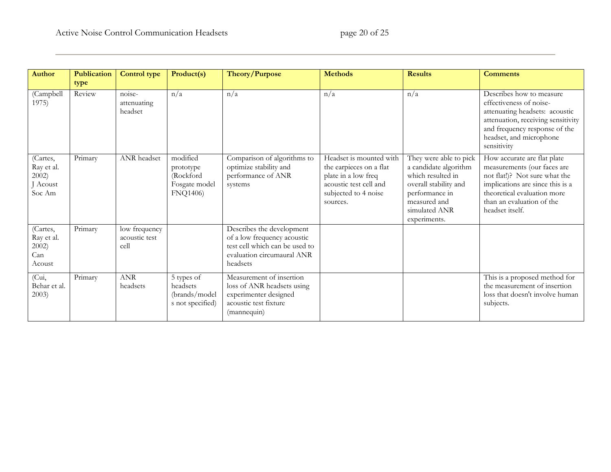| <b>Author</b>                                       | <b>Publication</b><br>type | <b>Control type</b>                    | Product(s)                                                              | Theory/Purpose                                                                                                                       | <b>Methods</b>                                                                                                                          | <b>Results</b>                                                                                                                                                   | <b>Comments</b>                                                                                                                                                                                                |
|-----------------------------------------------------|----------------------------|----------------------------------------|-------------------------------------------------------------------------|--------------------------------------------------------------------------------------------------------------------------------------|-----------------------------------------------------------------------------------------------------------------------------------------|------------------------------------------------------------------------------------------------------------------------------------------------------------------|----------------------------------------------------------------------------------------------------------------------------------------------------------------------------------------------------------------|
| (Campbell<br>1975)                                  | Review                     | noise-<br>attenuating<br>headset       | n/a                                                                     | n/a                                                                                                                                  | n/a                                                                                                                                     | n/a                                                                                                                                                              | Describes how to measure<br>effectiveness of noise-<br>attenuating headsets: acoustic<br>attenuation, receiving sensitivity<br>and frequency response of the<br>headset, and microphone<br>sensitivity         |
| (Cartes,<br>Ray et al.<br>2002)<br>Acoust<br>Soc Am | Primary                    | ANR headset                            | modified<br>prototype<br>(Rockford<br>Fosgate model<br><b>FNQ1406</b> ) | Comparison of algorithms to<br>optimize stability and<br>performance of ANR<br>systems                                               | Headset is mounted with<br>the earpieces on a flat<br>plate in a low freq<br>acoustic test cell and<br>subjected to 4 noise<br>sources. | They were able to pick<br>a candidate algorithm<br>which resulted in<br>overall stability and<br>performance in<br>measured and<br>simulated ANR<br>experiments. | How accurate are flat plate<br>measurements (our faces are<br>not flat!)? Not sure what the<br>implications are since this is a<br>theoretical evaluation more<br>than an evaluation of the<br>headset itself. |
| (Cartes,<br>Ray et al.<br>2002)<br>Can<br>Acoust    | Primary                    | low frequency<br>acoustic test<br>cell |                                                                         | Describes the development<br>of a low frequency acoustic<br>test cell which can be used to<br>evaluation circumaural ANR<br>headsets |                                                                                                                                         |                                                                                                                                                                  |                                                                                                                                                                                                                |
| $\overline{\text{Cui}}$<br>Behar et al.<br>2003)    | Primary                    | $\operatorname{ANR}$<br>headsets       | 5 types of<br>headsets<br>(brands/model<br>s not specified)             | Measurement of insertion<br>loss of ANR headsets using<br>experimenter designed<br>acoustic test fixture<br>(mannequin)              |                                                                                                                                         |                                                                                                                                                                  | This is a proposed method for<br>the measurement of insertion<br>loss that doesn't involve human<br>subjects.                                                                                                  |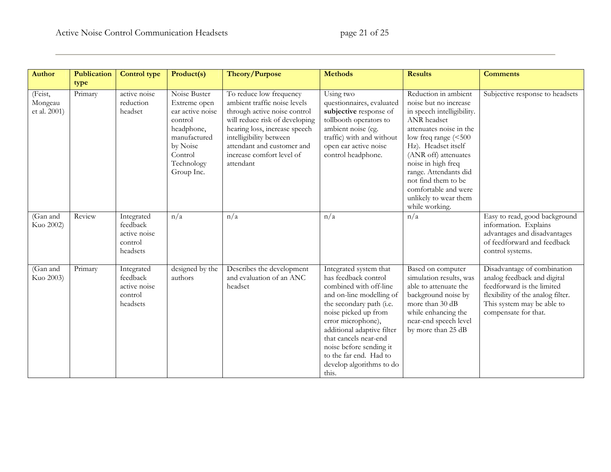| <b>Author</b>                      | Publication | <b>Control type</b>                                           | Product(s)                                                                                                                                   | Theory/Purpose                                                                                                                                                                                                                                                | <b>Methods</b>                                                                                                                                                                                                                                                                                                                  | <b>Results</b>                                                                                                                                                                                                                                                                                                                        | <b>Comments</b>                                                                                                                                                                     |
|------------------------------------|-------------|---------------------------------------------------------------|----------------------------------------------------------------------------------------------------------------------------------------------|---------------------------------------------------------------------------------------------------------------------------------------------------------------------------------------------------------------------------------------------------------------|---------------------------------------------------------------------------------------------------------------------------------------------------------------------------------------------------------------------------------------------------------------------------------------------------------------------------------|---------------------------------------------------------------------------------------------------------------------------------------------------------------------------------------------------------------------------------------------------------------------------------------------------------------------------------------|-------------------------------------------------------------------------------------------------------------------------------------------------------------------------------------|
|                                    | type        |                                                               |                                                                                                                                              |                                                                                                                                                                                                                                                               |                                                                                                                                                                                                                                                                                                                                 |                                                                                                                                                                                                                                                                                                                                       |                                                                                                                                                                                     |
| (Feist,<br>Mongeau<br>et al. 2001) | Primary     | active noise<br>reduction<br>headset                          | Noise Buster<br>Extreme open<br>ear active noise<br>control<br>headphone,<br>manufactured<br>by Noise<br>Control<br>Technology<br>Group Inc. | To reduce low frequency<br>ambient traffic noise levels<br>through active noise control<br>will reduce risk of developing<br>hearing loss, increase speech<br>intelligibility between<br>attendant and customer and<br>increase comfort level of<br>attendant | Using two<br>questionnaires, evaluated<br>subjective response of<br>tollbooth operators to<br>ambient noise (eg.<br>traffic) with and without<br>open ear active noise<br>control headphone.                                                                                                                                    | Reduction in ambient<br>noise but no increase<br>in speech intelligibility.<br>ANR headset<br>attenuates noise in the<br>low freq range (<500<br>Hz). Headset itself<br>(ANR off) attenuates<br>noise in high freq<br>range. Attendants did<br>not find them to be<br>comfortable and were<br>unlikely to wear them<br>while working. | Subjective response to headsets                                                                                                                                                     |
| (Gan and<br>Kuo 2002)              | Review      | Integrated<br>feedback<br>active noise<br>control<br>headsets | n/a                                                                                                                                          | n/a                                                                                                                                                                                                                                                           | n/a                                                                                                                                                                                                                                                                                                                             | n/a                                                                                                                                                                                                                                                                                                                                   | Easy to read, good background<br>information. Explains<br>advantages and disadvantages<br>of feedforward and feedback<br>control systems.                                           |
| (Gan and<br>Kuo 2003)              | Primary     | Integrated<br>feedback<br>active noise<br>control<br>headsets | designed by the<br>authors                                                                                                                   | Describes the development<br>and evaluation of an ANC<br>headset                                                                                                                                                                                              | Integrated system that<br>has feedback control<br>combined with off-line<br>and on-line modelling of<br>the secondary path (i.e.<br>noise picked up from<br>error microphone),<br>additional adaptive filter<br>that cancels near-end<br>noise before sending it<br>to the far end. Had to<br>develop algorithms to do<br>this. | Based on computer<br>simulation results, was<br>able to attenuate the<br>background noise by<br>more than 30 dB<br>while enhancing the<br>near-end speech level<br>by more than 25 dB                                                                                                                                                 | Disadvantage of combination<br>analog feedback and digital<br>feedforward is the limited<br>flexibility of the analog filter.<br>This system may be able to<br>compensate for that. |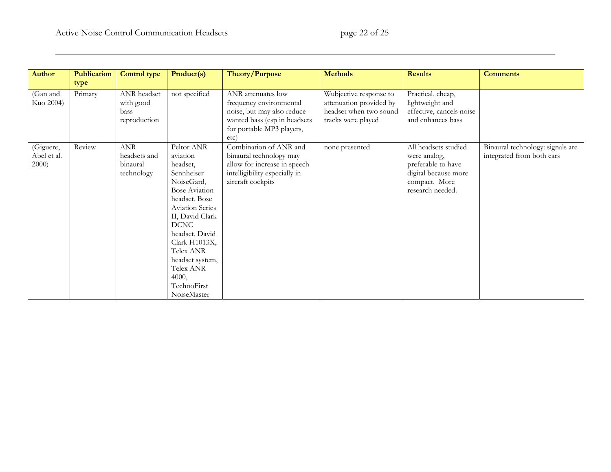| <b>Author</b>                     | <b>Publication</b> | <b>Control type</b>                              | Product(s)                                                                                                                                                                                                                                                                                 | Theory/Purpose                                                                                                                                   | <b>Methods</b>                                                                                    | <b>Results</b>                                                                                                          | <b>Comments</b>                                               |
|-----------------------------------|--------------------|--------------------------------------------------|--------------------------------------------------------------------------------------------------------------------------------------------------------------------------------------------------------------------------------------------------------------------------------------------|--------------------------------------------------------------------------------------------------------------------------------------------------|---------------------------------------------------------------------------------------------------|-------------------------------------------------------------------------------------------------------------------------|---------------------------------------------------------------|
|                                   | type               |                                                  |                                                                                                                                                                                                                                                                                            |                                                                                                                                                  |                                                                                                   |                                                                                                                         |                                                               |
| (Gan and<br>Kuo 2004)             | Primary            | ANR headset<br>with good<br>bass<br>reproduction | not specified                                                                                                                                                                                                                                                                              | ANR attenuates low<br>frequency environmental<br>noise, but may also reduce<br>wanted bass (esp in headsets<br>for portable MP3 players,<br>etc) | Wubjective response to<br>attenuation provided by<br>headset when two sound<br>tracks were played | Practical, cheap,<br>lightweight and<br>effective, cancels noise<br>and enhances bass                                   |                                                               |
| (Giguere,<br>Abel et al.<br>2000) | Review             | ANR<br>headsets and<br>binaural<br>technology    | Peltor ANR<br>aviation<br>headset,<br>Sennheiser<br>NoiseGard,<br><b>Bose Aviation</b><br>headset, Bose<br><b>Aviation Series</b><br>II, David Clark<br><b>DCNC</b><br>headset, David<br>Clark H1013X,<br>Telex ANR<br>headset system,<br>Telex ANR<br>4000,<br>TechnoFirst<br>NoiseMaster | Combination of ANR and<br>binaural technology may<br>allow for increase in speech<br>intelligibility especially in<br>aircraft cockpits          | none presented                                                                                    | All headsets studied<br>were analog,<br>preferable to have<br>digital because more<br>compact. More<br>research needed. | Binaural technology: signals are<br>integrated from both ears |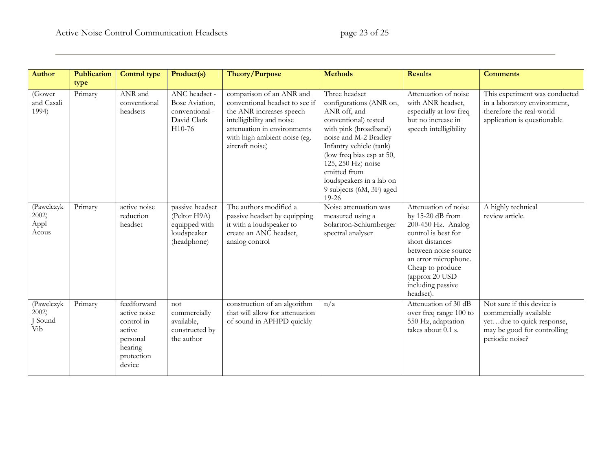| <b>Author</b>                          | <b>Publication</b> | <b>Control type</b>                                                                                | Product(s)                                                                     | Theory/Purpose                                                                                                                                                                                        | <b>Methods</b>                                                                                                                                                                                                                                                                                        | <b>Results</b>                                                                                                                                                                                                                     | <b>Comments</b>                                                                                                                     |
|----------------------------------------|--------------------|----------------------------------------------------------------------------------------------------|--------------------------------------------------------------------------------|-------------------------------------------------------------------------------------------------------------------------------------------------------------------------------------------------------|-------------------------------------------------------------------------------------------------------------------------------------------------------------------------------------------------------------------------------------------------------------------------------------------------------|------------------------------------------------------------------------------------------------------------------------------------------------------------------------------------------------------------------------------------|-------------------------------------------------------------------------------------------------------------------------------------|
|                                        | type               |                                                                                                    |                                                                                |                                                                                                                                                                                                       |                                                                                                                                                                                                                                                                                                       |                                                                                                                                                                                                                                    |                                                                                                                                     |
| (Gower<br>and Casali<br>1994)          | Primary            | ANR and<br>conventional<br>headsets                                                                | ANC headset -<br>Bose Aviation,<br>conventional -<br>David Clark<br>H10-76     | comparison of an ANR and<br>conventional headset to see if<br>the ANR increases speech<br>intelligibility and noise<br>attenuation in environments<br>with high ambient noise (eg.<br>aircraft noise) | Three headset<br>configurations (ANR on,<br>ANR off, and<br>conventional) tested<br>with pink (broadband)<br>noise and M-2 Bradley<br>Infantry vehicle (tank)<br>(low freq bias esp at 50,<br>125, 250 Hz) noise<br>emitted from<br>loudspeakers in a lab on<br>9 subjects (6M, 3F) aged<br>$19 - 26$ | Attenuation of noise<br>with ANR headset,<br>especially at low freq<br>but no increase in<br>speech intelligibility                                                                                                                | This experiment was conducted<br>in a laboratory environment,<br>therefore the real-world<br>application is questionable            |
| (Pawelczyk<br>2002)<br>Appl<br>Acous   | Primary            | active noise<br>reduction<br>headset                                                               | passive headset<br>(Peltor H9A)<br>equipped with<br>loudspeaker<br>(headphone) | The authors modified a<br>passive headset by equipping<br>it with a loudspeaker to<br>create an ANC headset,<br>analog control                                                                        | Noise attenuation was<br>measured using a<br>Solartron-Schlumberger<br>spectral analyser                                                                                                                                                                                                              | Attenuation of noise<br>by $15-20$ dB from<br>200-450 Hz. Analog<br>control is best for<br>short distances<br>between noise source<br>an error microphone.<br>Cheap to produce<br>(approx 20 USD<br>including passive<br>headset). | A highly technical<br>review article.                                                                                               |
| (Pawelczyk<br>$2002$ )<br>Sound<br>Vib | Primary            | feedforward<br>active noise<br>control in<br>active<br>personal<br>hearing<br>protection<br>device | not<br>commercially<br>available,<br>constructed by<br>the author              | construction of an algorithm<br>that will allow for attenuation<br>of sound in APHPD quickly                                                                                                          | n/a                                                                                                                                                                                                                                                                                                   | Attenuation of 30 dB<br>over freq range 100 to<br>550 Hz, adaptation<br>takes about 0.1 s.                                                                                                                                         | Not sure if this device is<br>commercially available<br>yetdue to quick response,<br>may be good for controlling<br>periodic noise? |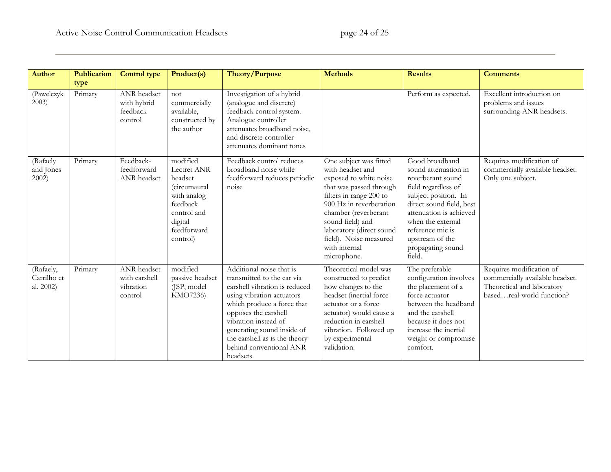| <b>Author</b>                         | <b>Publication</b> | <b>Control type</b>                                  | Product(s)                                                                                                                                | Theory/Purpose                                                                                                                                                                                                                                                                                           | <b>Methods</b>                                                                                                                                                                                                                                                                          | <b>Results</b>                                                                                                                                                                                                                                               | <b>Comments</b>                                                                                                        |
|---------------------------------------|--------------------|------------------------------------------------------|-------------------------------------------------------------------------------------------------------------------------------------------|----------------------------------------------------------------------------------------------------------------------------------------------------------------------------------------------------------------------------------------------------------------------------------------------------------|-----------------------------------------------------------------------------------------------------------------------------------------------------------------------------------------------------------------------------------------------------------------------------------------|--------------------------------------------------------------------------------------------------------------------------------------------------------------------------------------------------------------------------------------------------------------|------------------------------------------------------------------------------------------------------------------------|
|                                       | type               |                                                      |                                                                                                                                           |                                                                                                                                                                                                                                                                                                          |                                                                                                                                                                                                                                                                                         |                                                                                                                                                                                                                                                              |                                                                                                                        |
| (Pawelczyk<br>2003)                   | Primary            | ANR headset<br>with hybrid<br>feedback<br>control    | not<br>commercially<br>available,<br>constructed by<br>the author                                                                         | Investigation of a hybrid<br>(analogue and discrete)<br>feedback control system.<br>Analogue controller<br>attenuates broadband noise,<br>and discrete controller<br>attenuates dominant tones                                                                                                           |                                                                                                                                                                                                                                                                                         | Perform as expected.                                                                                                                                                                                                                                         | Excellent introduction on<br>problems and issues<br>surrounding ANR headsets.                                          |
| (Rafaely<br>and Jones<br>$2002$ )     | Primary            | Feedback-<br>feedforward<br><b>ANR</b> headset       | modified<br>Lectret ANR<br>headset<br><i>(circumaural</i><br>with analog<br>feedback<br>control and<br>digital<br>feedforward<br>control) | Feedback control reduces<br>broadband noise while<br>feedforward reduces periodic<br>noise                                                                                                                                                                                                               | One subject was fitted<br>with headset and<br>exposed to white noise<br>that was passed through<br>filters in range 200 to<br>900 Hz in reverberation<br>chamber (reverberant<br>sound field) and<br>laboratory (direct sound<br>field). Noise measured<br>with internal<br>microphone. | Good broadband<br>sound attenuation in<br>reverberant sound<br>field regardless of<br>subject position. In<br>direct sound field, best<br>attenuation is achieved<br>when the external<br>reference mic is<br>upstream of the<br>propagating sound<br>field. | Requires modification of<br>commercially available headset.<br>Only one subject.                                       |
| (Rafaely,<br>Carrilho et<br>al. 2002) | Primary            | ANR headset<br>with earshell<br>vibration<br>control | modified<br>passive headset<br>(JSP, model<br>KMO7236)                                                                                    | Additional noise that is<br>transmitted to the ear via<br>earshell vibration is reduced<br>using vibration actuators<br>which produce a force that<br>opposes the earshell<br>vibration instead of<br>generating sound inside of<br>the earshell as is the theory<br>behind conventional ANR<br>headsets | Theoretical model was<br>constructed to predict<br>how changes to the<br>headset (inertial force<br>actuator or a force<br>actuator) would cause a<br>reduction in earshell<br>vibration. Followed up<br>by experimental<br>validation.                                                 | The preferable<br>configuration involves<br>the placement of a<br>force actuator<br>between the headband<br>and the earshell<br>because it does not<br>increase the inertial<br>weight or compromise<br>comfort.                                             | Requires modification of<br>commercially available headset.<br>Theoretical and laboratory<br>basedreal-world function? |